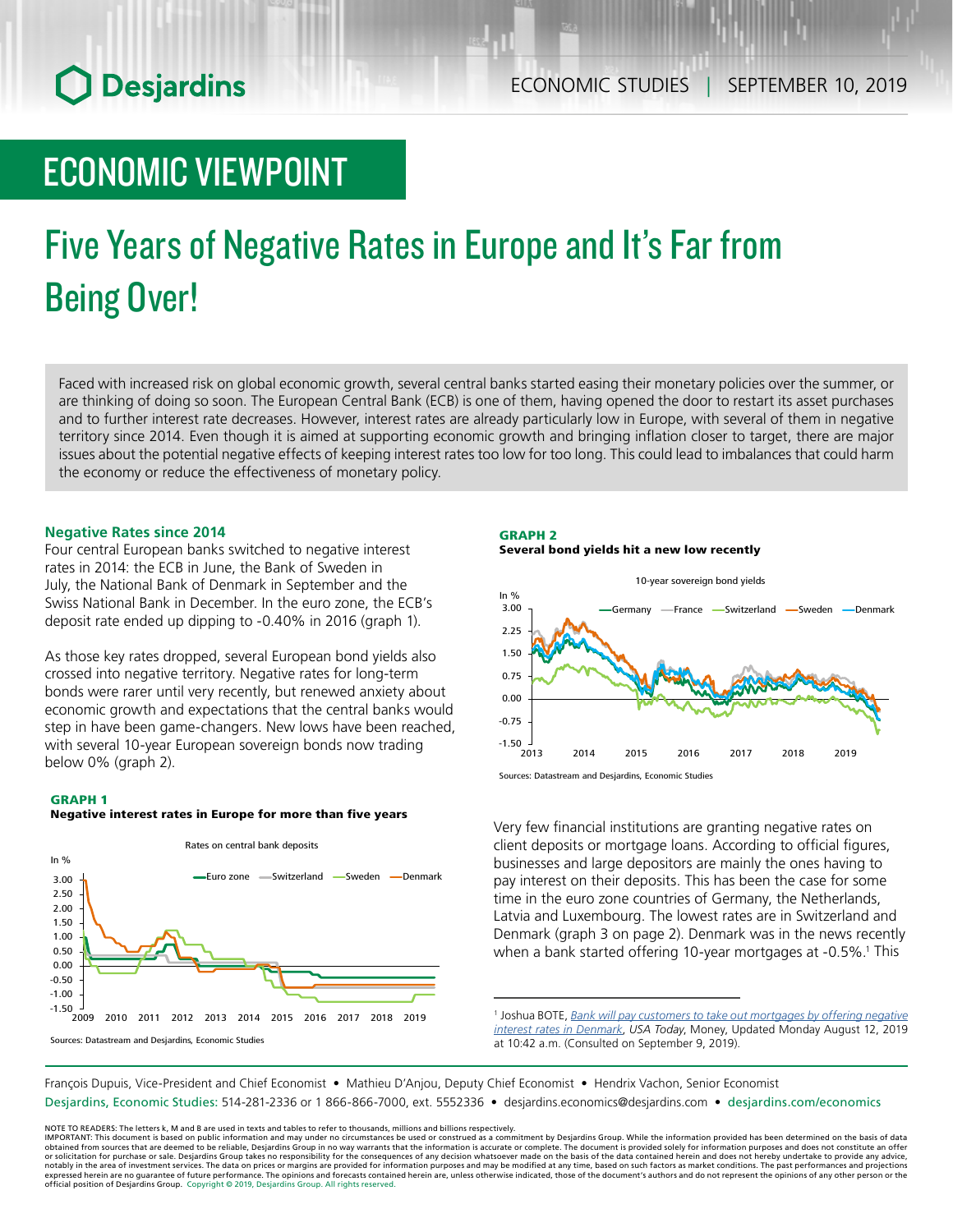## **O** Desjardins

### ECONOMIC VIEWPOINT

# Five Years of Negative Rates in Europe and It's Far from Being Over!

Faced with increased risk on global economic growth, several central banks started easing their monetary policies over the summer, or are thinking of doing so soon. The European Central Bank (ECB) is one of them, having opened the door to restart its asset purchases and to further interest rate decreases. However, interest rates are already particularly low in Europe, with several of them in negative territory since 2014. Even though it is aimed at supporting economic growth and bringing inflation closer to target, there are major issues about the potential negative effects of keeping interest rates too low for too long. This could lead to imbalances that could harm the economy or reduce the effectiveness of monetary policy.

#### **Negative Rates since 2014**

Four central European banks switched to negative interest rates in 2014: the ECB in June, the Bank of Sweden in July, the National Bank of Denmark in September and the Swiss National Bank in December. In the euro zone, the ECB's deposit rate ended up dipping to -0.40% in 2016 (graph 1).

As those key rates dropped, several European bond yields also crossed into negative territory. Negative rates for long-term bonds were rarer until very recently, but renewed anxiety about economic growth and expectations that the central banks would step in have been game-changers. New lows have been reached, with several 10-year European sovereign bonds now trading below 0% (graph 2).

#### GRAPH 1

#### Negative interest rates in Europe for more than five years



#### GRAPH 2 Several bond yields hit a new low recently



Sources: Datastream and Desjardins, Economic Studies

Very few financial institutions are granting negative rates on client deposits or mortgage loans. According to official figures, businesses and large depositors are mainly the ones having to pay interest on their deposits. This has been the case for some time in the euro zone countries of Germany, the Netherlands, Latvia and Luxembourg. The lowest rates are in Switzerland and Denmark (graph 3 on page 2). Denmark was in the news recently when a bank started offering 10-year mortgages at -0.5%.<sup>1</sup> This

<sup>1</sup> Joshua BOTE, Bank will pay customers to take out mortgages by offering negative *[interest rates in Denmark](https://www.usatoday.com/story/money/2019/08/09/denmark-jyske-bank-give-negative-interest-rate-buy-home/1965593001/)*, *USA Today*, Money, Updated Monday August 12, 2019 at 10:42 a.m. (Consulted on September 9, 2019).

François Dupuis, Vice-President and Chief Economist • Mathieu D'Anjou, Deputy Chief Economist • Hendrix Vachon, Senior Economist

Desjardins, Economic Studies: 514-281-2336 or 1 866-866-7000, ext. 5552336 • desjardins.economics@desjardins.com • [desjardins.com/economics](http://desjardins.com/economics)

NOTE TO READERS: The letters k, M and B are used in texts and tables to refer to thousands, millions and billions respectively.<br>IMPORTANT: This document is based on public information and may under no circumstances be used obtained from sources that are deemed to be reliable, Desjardins Group in no way warrants that the information is accurate or complete. The document is provided solely for information purposes and does not constitute an of expressed herein are no guarantee of future performance. The opinions and forecasts contained herein are, unless otherwise indicated, those of the document's authors and do not represent the opinions of any other person or official position of Desjardins Group. Copyright © 2019, Desjardins Group. All rights reserved.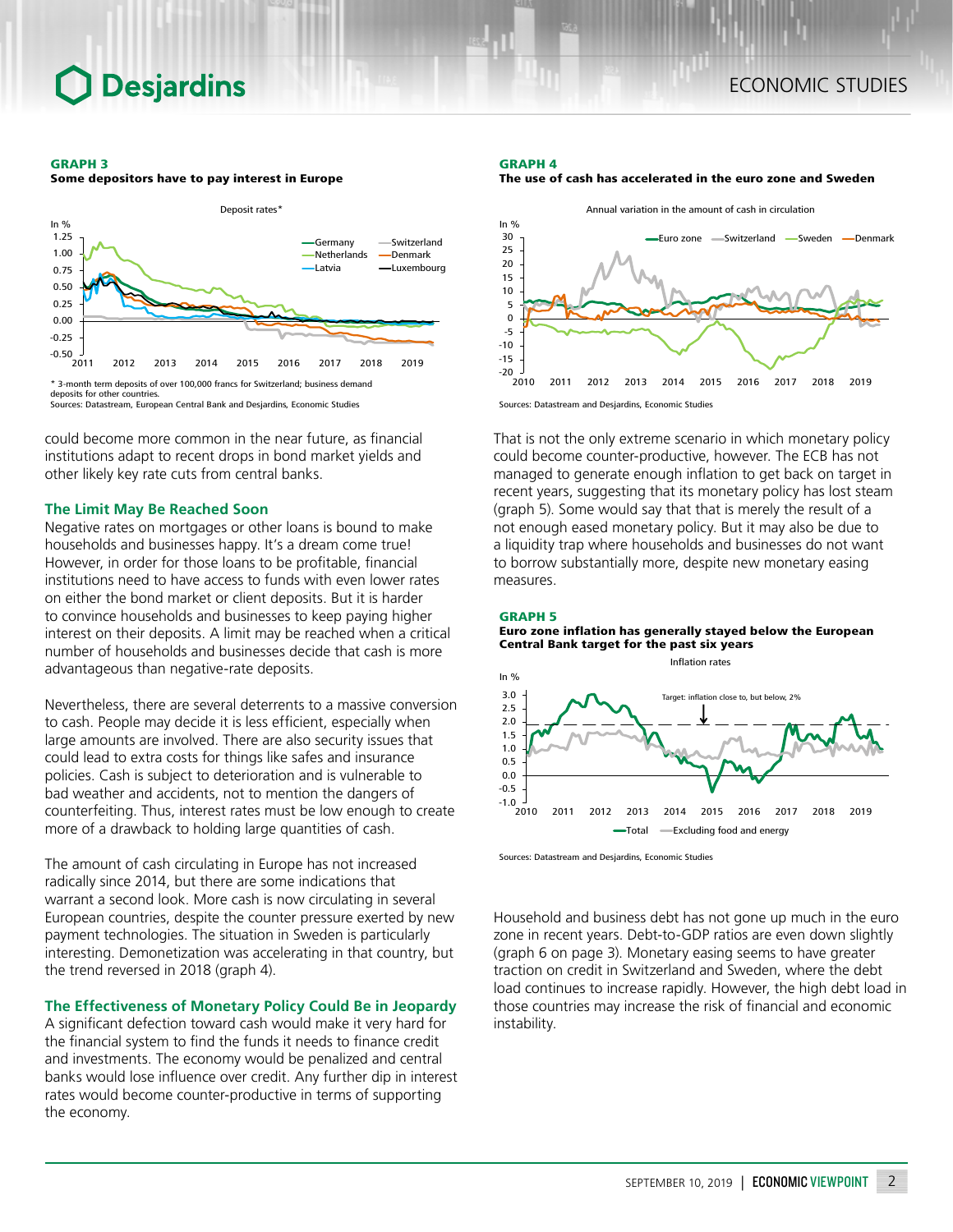#### GRAPH 3

Some depositors have to pay interest in Europe



could become more common in the near future, as financial institutions adapt to recent drops in bond market yields and other likely key rate cuts from central banks.

#### **The Limit May Be Reached Soon**

Negative rates on mortgages or other loans is bound to make households and businesses happy. It's a dream come true! However, in order for those loans to be profitable, financial institutions need to have access to funds with even lower rates on either the bond market or client deposits. But it is harder to convince households and businesses to keep paying higher interest on their deposits. A limit may be reached when a critical number of households and businesses decide that cash is more advantageous than negative-rate deposits.

Nevertheless, there are several deterrents to a massive conversion to cash. People may decide it is less efficient, especially when large amounts are involved. There are also security issues that could lead to extra costs for things like safes and insurance policies. Cash is subject to deterioration and is vulnerable to bad weather and accidents, not to mention the dangers of counterfeiting. Thus, interest rates must be low enough to create more of a drawback to holding large quantities of cash.

The amount of cash circulating in Europe has not increased radically since 2014, but there are some indications that warrant a second look. More cash is now circulating in several European countries, despite the counter pressure exerted by new payment technologies. The situation in Sweden is particularly interesting. Demonetization was accelerating in that country, but the trend reversed in 2018 (graph 4).

#### **The Effectiveness of Monetary Policy Could Be in Jeopardy**

A significant defection toward cash would make it very hard for the financial system to find the funds it needs to finance credit and investments. The economy would be penalized and central banks would lose influence over credit. Any further dip in interest rates would become counter-productive in terms of supporting the economy.

#### GRAPH 4





Sources: Datastream and Desjardins, Economic Studies

That is not the only extreme scenario in which monetary policy could become counter-productive, however. The ECB has not managed to generate enough inflation to get back on target in recent years, suggesting that its monetary policy has lost steam (graph 5). Some would say that that is merely the result of a not enough eased monetary policy. But it may also be due to a liquidity trap where households and businesses do not want to borrow substantially more, despite new monetary easing measures.



Euro zone inflation has generally stayed below the European Central Bank target for the past six years



Sources: Datastream and Desjardins, Economic Studies

Household and business debt has not gone up much in the euro zone in recent years. Debt-to-GDP ratios are even down slightly (graph 6 on page 3). Monetary easing seems to have greater traction on credit in Switzerland and Sweden, where the debt load continues to increase rapidly. However, the high debt load in those countries may increase the risk of financial and economic instability.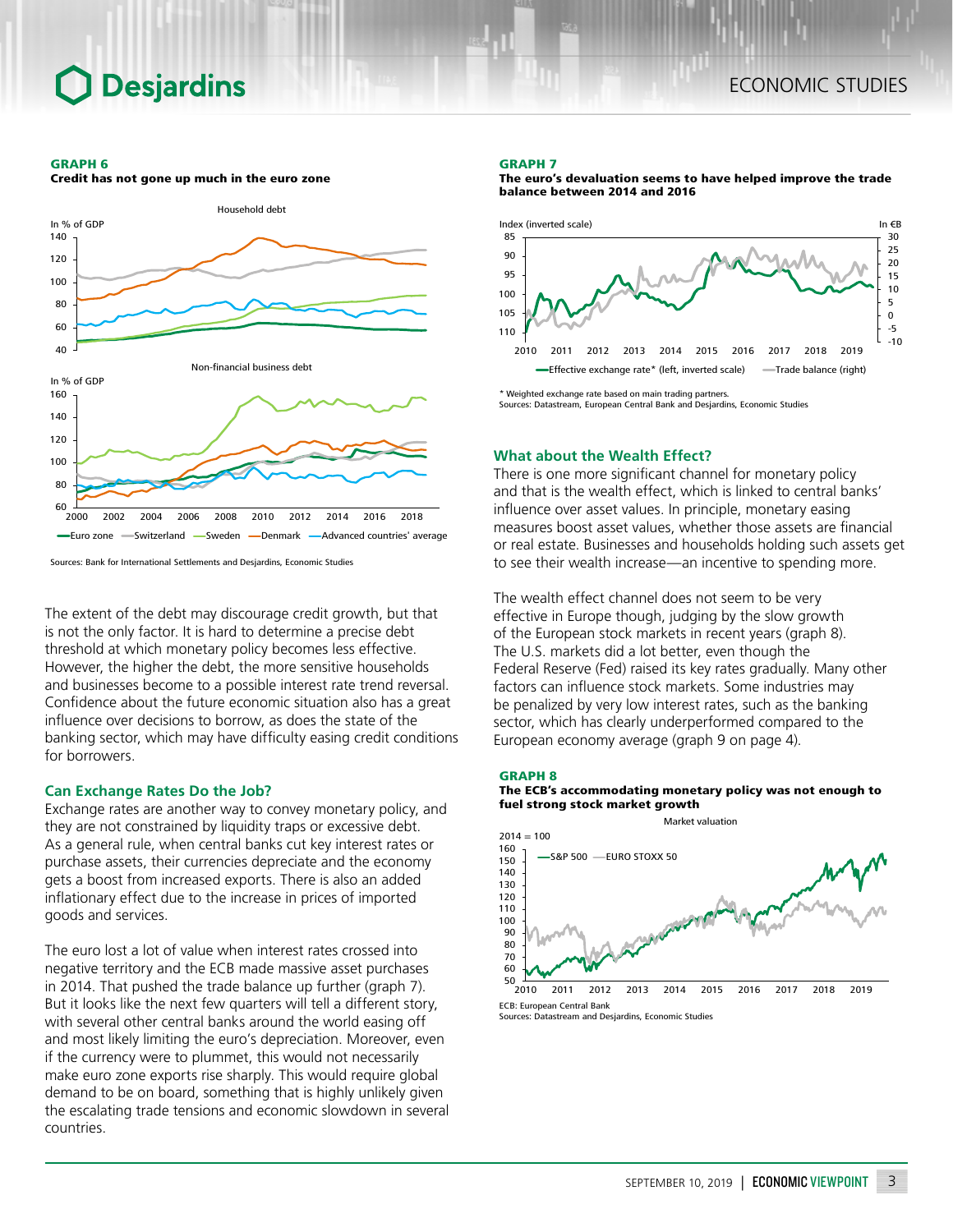### **Desjardins**

#### GRAPH 6



Credit has not gone up much in the euro zone

Sources: Bank for International Settlements and Desjardins, Economic Studies

The extent of the debt may discourage credit growth, but that is not the only factor. It is hard to determine a precise debt threshold at which monetary policy becomes less effective. However, the higher the debt, the more sensitive households and businesses become to a possible interest rate trend reversal. Confidence about the future economic situation also has a great influence over decisions to borrow, as does the state of the banking sector, which may have difficulty easing credit conditions for borrowers.

#### **Can Exchange Rates Do the Job?**

Exchange rates are another way to convey monetary policy, and they are not constrained by liquidity traps or excessive debt. As a general rule, when central banks cut key interest rates or purchase assets, their currencies depreciate and the economy gets a boost from increased exports. There is also an added inflationary effect due to the increase in prices of imported goods and services.

The euro lost a lot of value when interest rates crossed into negative territory and the ECB made massive asset purchases in 2014. That pushed the trade balance up further (graph 7). But it looks like the next few quarters will tell a different story, with several other central banks around the world easing off and most likely limiting the euro's depreciation. Moreover, even if the currency were to plummet, this would not necessarily make euro zone exports rise sharply. This would require global demand to be on board, something that is highly unlikely given the escalating trade tensions and economic slowdown in several countries.

#### GRAPH 7



The euro's devaluation seems to have helped improve the trade

\* Weighted exchange rate based on main trading partners. Sources: Datastream, European Central Bank and Desjardins, Economic Studies

#### **What about the Wealth Effect?**

balance between 2014 and 2016

There is one more significant channel for monetary policy and that is the wealth effect, which is linked to central banks' influence over asset values. In principle, monetary easing measures boost asset values, whether those assets are financial or real estate. Businesses and households holding such assets get to see their wealth increase—an incentive to spending more.

The wealth effect channel does not seem to be very effective in Europe though, judging by the slow growth of the European stock markets in recent years (graph 8). The U.S. markets did a lot better, even though the Federal Reserve (Fed) raised its key rates gradually. Many other factors can influence stock markets. Some industries may be penalized by very low interest rates, such as the banking sector, which has clearly underperformed compared to the European economy average (graph 9 on page 4).

#### GRAPH 8

The ECB's accommodating monetary policy was not enough to fuel strong stock market growth



Sources: Datastream and Desjardins, Economic Studies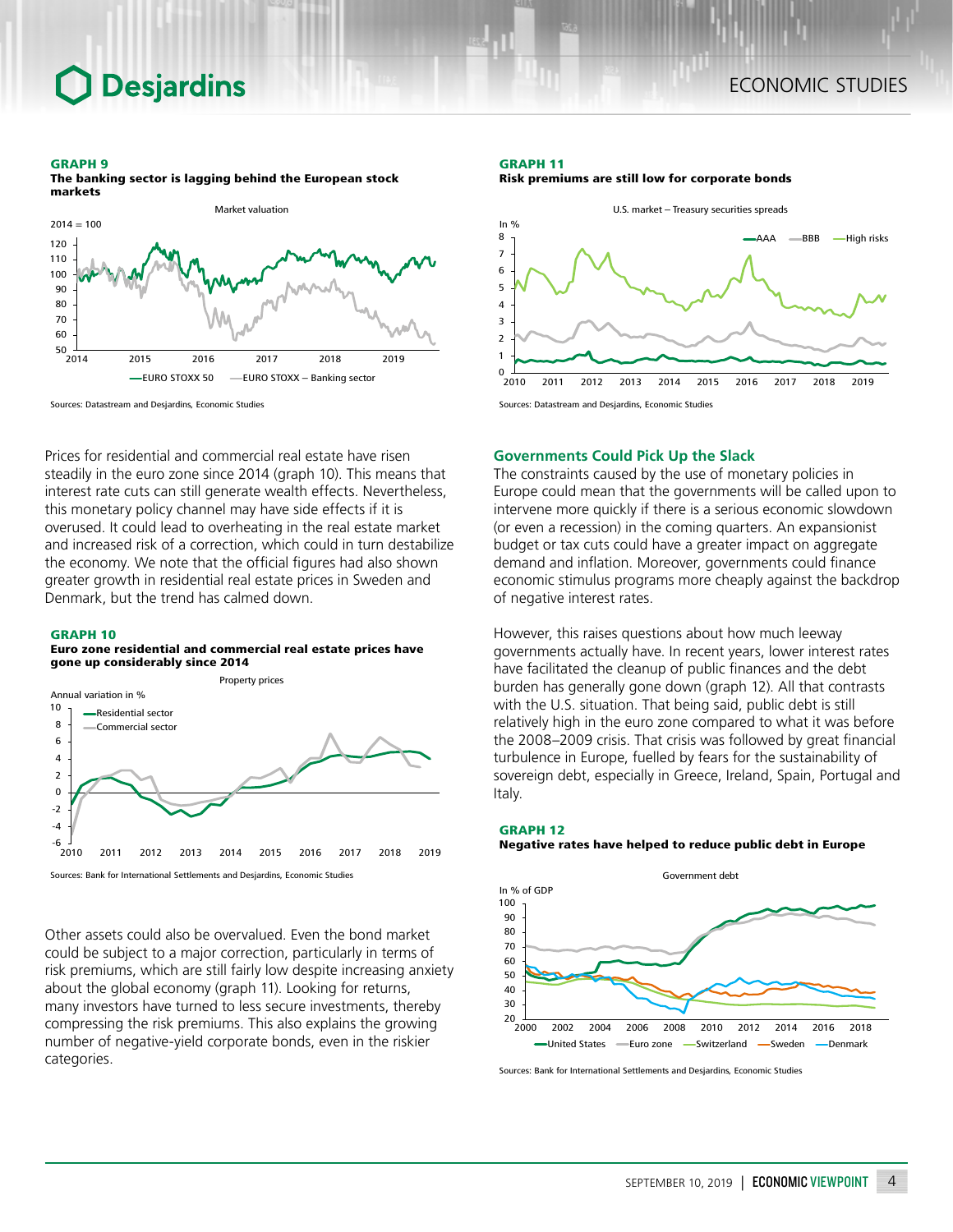### **Desjardins**

#### GRAPH 9

The banking sector is lagging behind the European stock markets



GRAPH 11 Risk premiums are still low for corporate bonds



Prices for residential and commercial real estate have risen steadily in the euro zone since 2014 (graph 10). This means that interest rate cuts can still generate wealth effects. Nevertheless, this monetary policy channel may have side effects if it is overused. It could lead to overheating in the real estate market and increased risk of a correction, which could in turn destabilize the economy. We note that the official figures had also shown

greater growth in residential real estate prices in Sweden and

Denmark, but the trend has calmed down.

Sources: Datastream and Desjardins, Economic Studies

#### GRAPH 10

#### Euro zone residential and commercial real estate prices have gone up considerably since 2014



Sources: Bank for International Settlements and Desjardins, Economic Studies

Other assets could also be overvalued. Even the bond market could be subject to a major correction, particularly in terms of risk premiums, which are still fairly low despite increasing anxiety about the global economy (graph 11). Looking for returns, many investors have turned to less secure investments, thereby compressing the risk premiums. This also explains the growing number of negative-yield corporate bonds, even in the riskier categories.

#### **Governments Could Pick Up the Slack**

The constraints caused by the use of monetary policies in Europe could mean that the governments will be called upon to intervene more quickly if there is a serious economic slowdown (or even a recession) in the coming quarters. An expansionist budget or tax cuts could have a greater impact on aggregate demand and inflation. Moreover, governments could finance economic stimulus programs more cheaply against the backdrop of negative interest rates.

However, this raises questions about how much leeway governments actually have. In recent years, lower interest rates have facilitated the cleanup of public finances and the debt burden has generally gone down (graph 12). All that contrasts with the U.S. situation. That being said, public debt is still relatively high in the euro zone compared to what it was before the 2008–2009 crisis. That crisis was followed by great financial turbulence in Europe, fuelled by fears for the sustainability of sovereign debt, especially in Greece, Ireland, Spain, Portugal and Italy.

#### GRAPH 12 Negative rates have helped to reduce public debt in Europe



Sources: Bank for International Settlements and Desjardins, Economic Studies